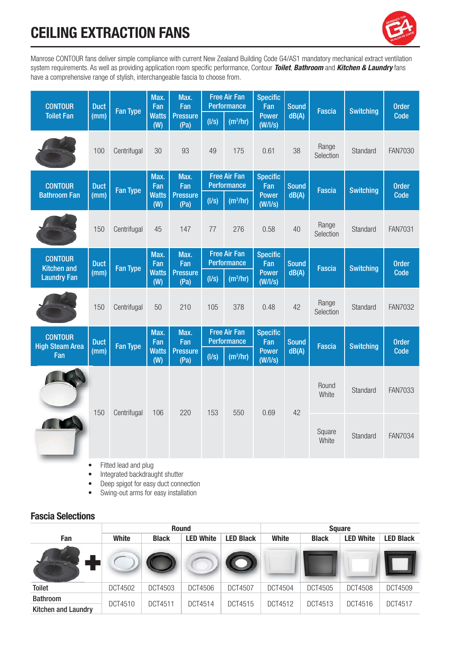# **CEILING EXTRACTION FANS**



Manrose CONTOUR fans deliver simple compliance with current New Zealand Building Code G4/AS1 mandatory mechanical extract ventilation system requirements. As well as providing application room specific performance, Contour *Toilet*, *Bathroom* and *Kitchen & Laundry* fans have a comprehensive range of stylish, interchangeable fascia to choose from.

| <b>CONTOUR</b>                                             | <b>Duct</b><br>(mm) | <b>Fan Type</b> | Max.<br>Fan<br><b>Watts</b><br>(W) | Max.<br>Fan                            | <b>Free Air Fan</b><br><b>Performance</b> |                      | <b>Specific</b><br>Fan  | <b>Sound</b> |                    |                  | <b>Order</b>   |
|------------------------------------------------------------|---------------------|-----------------|------------------------------------|----------------------------------------|-------------------------------------------|----------------------|-------------------------|--------------|--------------------|------------------|----------------|
| <b>Toilet Fan</b>                                          |                     |                 |                                    | <b>Pressure</b><br>(Pa)                | (1/s)                                     | (m <sup>3</sup> /hr) | <b>Power</b><br>(W/1/s) | dB(A)        | <b>Fascia</b>      | <b>Switching</b> | Code           |
|                                                            | 100                 | Centrifugal     | 30                                 | 93                                     | 49                                        | 175                  | 0.61                    | 38           | Range<br>Selection | Standard         | <b>FAN7030</b> |
| <b>CONTOUR</b>                                             | <b>Duct</b>         | <b>Fan Type</b> | Max.<br>Fan<br><b>Watts</b><br>(W) | Max.<br>Fan<br><b>Pressure</b><br>(Pa) | <b>Free Air Fan</b><br><b>Performance</b> |                      | <b>Specific</b><br>Fan  | <b>Sound</b> | <b>Fascia</b>      | <b>Switching</b> | <b>Order</b>   |
| <b>Bathroom Fan</b>                                        | (mm)                |                 |                                    |                                        | (1/s)                                     | (m <sup>3</sup> /hr) | <b>Power</b><br>(W/1/s) | dB(A)        |                    |                  | Code           |
|                                                            | 150                 | Centrifugal     | 45                                 | 147                                    | 77                                        | 276                  | 0.58                    | 40           | Range<br>Selection | Standard         | <b>FAN7031</b> |
| <b>CONTOUR</b><br><b>Kitchen and</b><br><b>Laundry Fan</b> | <b>Duct</b><br>(mm) | <b>Fan Type</b> | Max.<br>Fan<br><b>Watts</b><br>(W) | Max.<br>Fan<br><b>Pressure</b><br>(Pa) | <b>Free Air Fan</b><br><b>Performance</b> |                      | <b>Specific</b><br>Fan  | <b>Sound</b> | <b>Fascia</b>      | <b>Switching</b> | <b>Order</b>   |
|                                                            |                     |                 |                                    |                                        | (1/s)                                     | (m <sup>3</sup> /hr) | <b>Power</b><br>(W/1/s) | dB(A)        |                    |                  | Code           |
|                                                            | 150                 | Centrifugal     | 50                                 | 210                                    | 105                                       | 378                  | 0.48                    | 42           | Range<br>Selection | Standard         | <b>FAN7032</b> |
| <b>CONTOUR</b><br><b>High Steam Area</b><br>Fan            | <b>Duct</b><br>(mm) | <b>Fan Type</b> | Max.<br>Fan<br><b>Watts</b><br>(W) | Max.<br>Fan<br><b>Pressure</b><br>(Pa) | <b>Free Air Fan</b><br><b>Performance</b> |                      | <b>Specific</b><br>Fan  | <b>Sound</b> | <b>Fascia</b>      | <b>Switching</b> | <b>Order</b>   |
|                                                            |                     |                 |                                    |                                        | (1/s)                                     | (m <sup>3</sup> /hr) | <b>Power</b><br>(W/1/s) | dB(A)        |                    |                  | Code           |
|                                                            | 150                 | Centrifugal     | 106                                | 220                                    | 153                                       | 550                  | 0.69                    | 42           | Round<br>White     | Standard         | <b>FAN7033</b> |
|                                                            |                     |                 |                                    |                                        |                                           |                      |                         |              | Square<br>White    | Standard         | <b>FAN7034</b> |

• Fitted lead and plug

• Integrated backdraught shutter

• Deep spigot for easy duct connection

• Swing-out arms for easy installation

#### **Fascia Selections**

|                                               |         |                | <b>Round</b>     |                  | <b>Square</b> |              |                  |                  |
|-----------------------------------------------|---------|----------------|------------------|------------------|---------------|--------------|------------------|------------------|
| Fan                                           | White   | <b>Black</b>   | <b>LED White</b> | <b>LED Black</b> | <b>White</b>  | <b>Black</b> | <b>LED White</b> | <b>LED Black</b> |
|                                               |         |                |                  |                  |               |              |                  |                  |
| <b>Toilet</b>                                 | DCT4502 | <b>DCT4503</b> | DCT4506          | <b>DCT4507</b>   | DCT4504       | DCT4505      | <b>DCT4508</b>   | DCT4509          |
| <b>Bathroom</b><br><b>Kitchen and Laundry</b> | DCT4510 | DCT4511        | DCT4514          | DCT4515          | DCT4512       | DCT4513      | DCT4516          | DCT4517          |